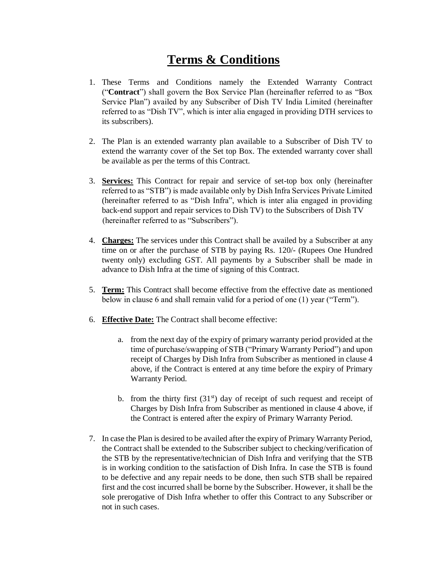## **Terms & Conditions**

- 1. These Terms and Conditions namely the Extended Warranty Contract ("**Contract**") shall govern the Box Service Plan (hereinafter referred to as "Box Service Plan") availed by any Subscriber of Dish TV India Limited (hereinafter referred to as "Dish TV", which is inter alia engaged in providing DTH services to its subscribers).
- 2. The Plan is an extended warranty plan available to a Subscriber of Dish TV to extend the warranty cover of the Set top Box. The extended warranty cover shall be available as per the terms of this Contract.
- 3. **Services:** This Contract for repair and service of set-top box only (hereinafter referred to as "STB") is made available only by Dish Infra Services Private Limited (hereinafter referred to as "Dish Infra", which is inter alia engaged in providing back-end support and repair services to Dish TV) to the Subscribers of Dish TV (hereinafter referred to as "Subscribers").
- 4. **Charges:** The services under this Contract shall be availed by a Subscriber at any time on or after the purchase of STB by paying Rs. 120/- (Rupees One Hundred twenty only) excluding GST. All payments by a Subscriber shall be made in advance to Dish Infra at the time of signing of this Contract.
- 5. **Term:** This Contract shall become effective from the effective date as mentioned below in clause 6 and shall remain valid for a period of one (1) year ("Term").
- 6. **Effective Date:** The Contract shall become effective:
	- a. from the next day of the expiry of primary warranty period provided at the time of purchase/swapping of STB ("Primary Warranty Period") and upon receipt of Charges by Dish Infra from Subscriber as mentioned in clause 4 above, if the Contract is entered at any time before the expiry of Primary Warranty Period.
	- b. from the thirty first  $(31<sup>st</sup>)$  day of receipt of such request and receipt of Charges by Dish Infra from Subscriber as mentioned in clause 4 above, if the Contract is entered after the expiry of Primary Warranty Period.
- 7. In case the Plan is desired to be availed after the expiry of Primary Warranty Period, the Contract shall be extended to the Subscriber subject to checking/verification of the STB by the representative/technician of Dish Infra and verifying that the STB is in working condition to the satisfaction of Dish Infra. In case the STB is found to be defective and any repair needs to be done, then such STB shall be repaired first and the cost incurred shall be borne by the Subscriber. However, it shall be the sole prerogative of Dish Infra whether to offer this Contract to any Subscriber or not in such cases.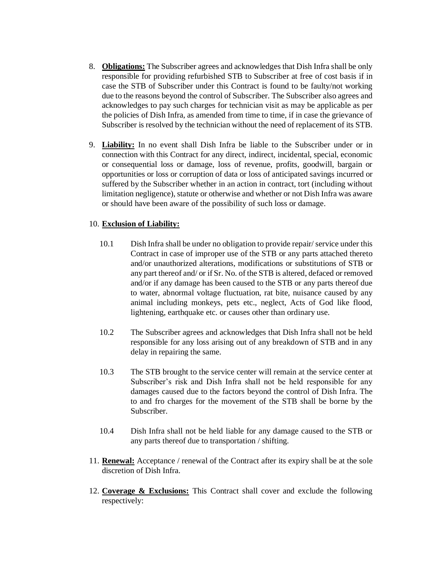- 8. **Obligations:** The Subscriber agrees and acknowledges that Dish Infra shall be only responsible for providing refurbished STB to Subscriber at free of cost basis if in case the STB of Subscriber under this Contract is found to be faulty/not working due to the reasons beyond the control of Subscriber. The Subscriber also agrees and acknowledges to pay such charges for technician visit as may be applicable as per the policies of Dish Infra, as amended from time to time, if in case the grievance of Subscriber is resolved by the technician without the need of replacement of its STB.
- 9. **Liability:** In no event shall Dish Infra be liable to the Subscriber under or in connection with this Contract for any direct, indirect, incidental, special, economic or consequential loss or damage, loss of revenue, profits, goodwill, bargain or opportunities or loss or corruption of data or loss of anticipated savings incurred or suffered by the Subscriber whether in an action in contract, tort (including without limitation negligence), statute or otherwise and whether or not Dish Infra was aware or should have been aware of the possibility of such loss or damage.

## 10. **Exclusion of Liability:**

- 10.1 Dish Infra shall be under no obligation to provide repair/ service under this Contract in case of improper use of the STB or any parts attached thereto and/or unauthorized alterations, modifications or substitutions of STB or any part thereof and/ or if Sr. No. of the STB is altered, defaced or removed and/or if any damage has been caused to the STB or any parts thereof due to water, abnormal voltage fluctuation, rat bite, nuisance caused by any animal including monkeys, pets etc., neglect, Acts of God like flood, lightening, earthquake etc. or causes other than ordinary use.
- 10.2 The Subscriber agrees and acknowledges that Dish Infra shall not be held responsible for any loss arising out of any breakdown of STB and in any delay in repairing the same.
- 10.3 The STB brought to the service center will remain at the service center at Subscriber's risk and Dish Infra shall not be held responsible for any damages caused due to the factors beyond the control of Dish Infra. The to and fro charges for the movement of the STB shall be borne by the Subscriber.
- 10.4 Dish Infra shall not be held liable for any damage caused to the STB or any parts thereof due to transportation / shifting.
- 11. **Renewal:** Acceptance / renewal of the Contract after its expiry shall be at the sole discretion of Dish Infra.
- 12. **Coverage & Exclusions:** This Contract shall cover and exclude the following respectively: